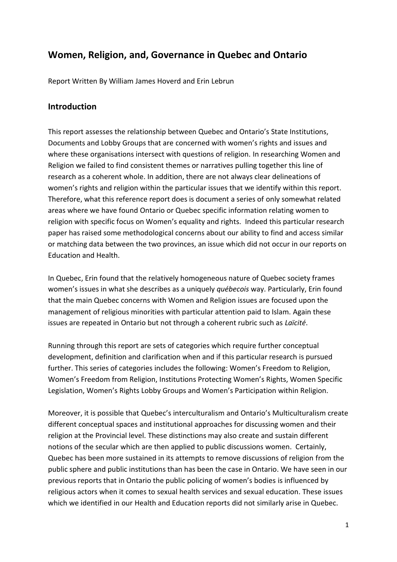# **Women, Religion, and, Governance in Quebec and Ontario**

Report Written By William James Hoverd and Erin Lebrun

#### **Introduction**

This report assesses the relationship between Quebec and Ontario's State Institutions, Documents and Lobby Groups that are concerned with women's rights and issues and where these organisations intersect with questions of religion. In researching Women and Religion we failed to find consistent themes or narratives pulling together this line of research as a coherent whole. In addition, there are not always clear delineations of women's rights and religion within the particular issues that we identify within this report. Therefore, what this reference report does is document a series of only somewhat related areas where we have found Ontario or Quebec specific information relating women to religion with specific focus on Women's equality and rights. Indeed this particular research paper has raised some methodological concerns about our ability to find and access similar or matching data between the two provinces, an issue which did not occur in our reports on Education and Health.

In Quebec, Erin found that the relatively homogeneous nature of Quebec society frames women's issues in what she describes as a uniquely *québecois* way. Particularly, Erin found that the main Quebec concerns with Women and Religion issues are focused upon the management of religious minorities with particular attention paid to Islam. Again these issues are repeated in Ontario but not through a coherent rubric such as *Laïcité*.

Running through this report are sets of categories which require further conceptual development, definition and clarification when and if this particular research is pursued further. This series of categories includes the following: Women's Freedom to Religion, Women's Freedom from Religion, Institutions Protecting Women's Rights, Women Specific Legislation, Women's Rights Lobby Groups and Women's Participation within Religion.

Moreover, it is possible that Quebec's interculturalism and Ontario's Multiculturalism create different conceptual spaces and institutional approaches for discussing women and their religion at the Provincial level. These distinctions may also create and sustain different notions of the secular which are then applied to public discussions women. Certainly, Quebec has been more sustained in its attempts to remove discussions of religion from the public sphere and public institutions than has been the case in Ontario. We have seen in our previous reports that in Ontario the public policing of women's bodies is influenced by religious actors when it comes to sexual health services and sexual education. These issues which we identified in our Health and Education reports did not similarly arise in Quebec.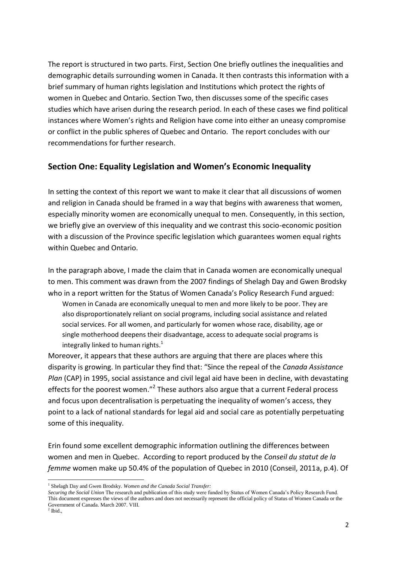The report is structured in two parts. First, Section One briefly outlines the inequalities and demographic details surrounding women in Canada. It then contrasts this information with a brief summary of human rights legislation and Institutions which protect the rights of women in Quebec and Ontario. Section Two, then discusses some of the specific cases studies which have arisen during the research period. In each of these cases we find political instances where Women's rights and Religion have come into either an uneasy compromise or conflict in the public spheres of Quebec and Ontario. The report concludes with our recommendations for further research.

### **Section One: Equality Legislation and Women's Economic Inequality**

In setting the context of this report we want to make it clear that all discussions of women and religion in Canada should be framed in a way that begins with awareness that women, especially minority women are economically unequal to men. Consequently, in this section, we briefly give an overview of this inequality and we contrast this socio-economic position with a discussion of the Province specific legislation which guarantees women equal rights within Quebec and Ontario.

In the paragraph above, I made the claim that in Canada women are economically unequal to men. This comment was drawn from the 2007 findings of Shelagh Day and Gwen Brodsky who in a report written for the Status of Women Canada's Policy Research Fund argued: Women in Canada are economically unequal to men and more likely to be poor. They are also disproportionately reliant on social programs, including social assistance and related social services. For all women, and particularly for women whose race, disability, age or single motherhood deepens their disadvantage, access to adequate social programs is integrally linked to human rights. $<sup>1</sup>$ </sup>

Moreover, it appears that these authors are arguing that there are places where this disparity is growing. In particular they find that: "Since the repeal of the *Canada Assistance Plan* (CAP) in 1995, social assistance and civil legal aid have been in decline, with devastating effects for the poorest women."<sup>2</sup> These authors also argue that a current Federal process and focus upon decentralisation is perpetuating the inequality of women's access, they point to a lack of national standards for legal aid and social care as potentially perpetuating some of this inequality.

Erin found some excellent demographic information outlining the differences between women and men in Quebec. According to report produced by the *Conseil du statut de la femme* women make up 50.4% of the population of Quebec in 2010 (Conseil, 2011a, p.4). Of

**<sup>.</sup>** <sup>1</sup> Shelagh Day and Gwen Brodsky. *Women and the Canada Social Transfer*:

*Securing the Social Union* The research and publication of this study were funded by Status of Women Canada's Policy Research Fund. This document expresses the views of the authors and does not necessarily represent the official policy of Status of Women Canada or the Government of Canada. March 2007. VIII.

 $<sup>2</sup>$  Ibid.,</sup>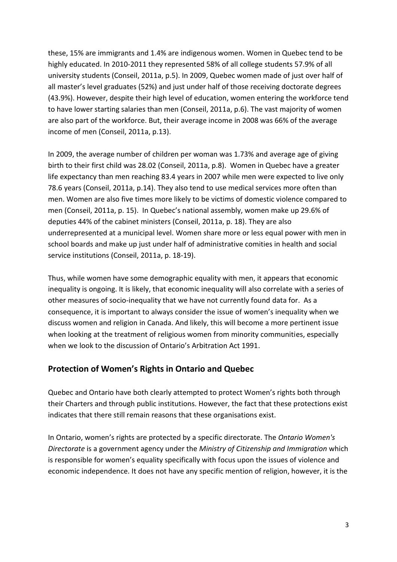these, 15% are immigrants and 1.4% are indigenous women. Women in Quebec tend to be highly educated. In 2010-2011 they represented 58% of all college students 57.9% of all university students (Conseil, 2011a, p.5). In 2009, Quebec women made of just over half of all master's level graduates (52%) and just under half of those receiving doctorate degrees (43.9%). However, despite their high level of education, women entering the workforce tend to have lower starting salaries than men (Conseil, 2011a, p.6). The vast majority of women are also part of the workforce. But, their average income in 2008 was 66% of the average income of men (Conseil, 2011a, p.13).

In 2009, the average number of children per woman was 1.73% and average age of giving birth to their first child was 28.02 (Conseil, 2011a, p.8). Women in Quebec have a greater life expectancy than men reaching 83.4 years in 2007 while men were expected to live only 78.6 years (Conseil, 2011a, p.14). They also tend to use medical services more often than men. Women are also five times more likely to be victims of domestic violence compared to men (Conseil, 2011a, p. 15). In Quebec's national assembly, women make up 29.6% of deputies 44% of the cabinet ministers (Conseil, 2011a, p. 18). They are also underrepresented at a municipal level. Women share more or less equal power with men in school boards and make up just under half of administrative comities in health and social service institutions (Conseil, 2011a, p. 18-19).

Thus, while women have some demographic equality with men, it appears that economic inequality is ongoing. It is likely, that economic inequality will also correlate with a series of other measures of socio-inequality that we have not currently found data for. As a consequence, it is important to always consider the issue of women's inequality when we discuss women and religion in Canada. And likely, this will become a more pertinent issue when looking at the treatment of religious women from minority communities, especially when we look to the discussion of Ontario's Arbitration Act 1991.

#### **Protection of Women's Rights in Ontario and Quebec**

Quebec and Ontario have both clearly attempted to protect Women's rights both through their Charters and through public institutions. However, the fact that these protections exist indicates that there still remain reasons that these organisations exist.

In Ontario, women's rights are protected by a specific directorate. The *Ontario Women's Directorate* is a government agency under the *Ministry of Citizenship and Immigration* which is responsible for women's equality specifically with focus upon the issues of violence and economic independence. It does not have any specific mention of religion, however, it is the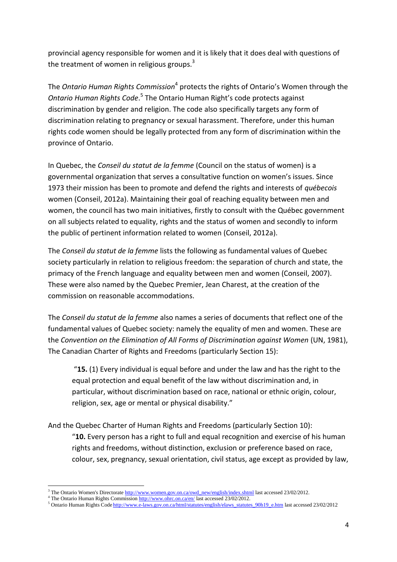provincial agency responsible for women and it is likely that it does deal with questions of the treatment of women in religious groups.<sup>3</sup>

The *Ontario Human Rights Commission*<sup>4</sup> protects the rights of Ontario's Women through the Ontario Human Rights Code.<sup>5</sup> The Ontario Human Right's code protects against discrimination by gender and religion. The code also specifically targets any form of discrimination relating to pregnancy or sexual harassment. Therefore, under this human rights code women should be legally protected from any form of discrimination within the province of Ontario.

In Quebec, the *Conseil du statut de la femme* (Council on the status of women) is a governmental organization that serves a consultative function on women's issues. Since 1973 their mission has been to promote and defend the rights and interests of *québecois* women (Conseil, 2012a). Maintaining their goal of reaching equality between men and women, the council has two main initiatives, firstly to consult with the Québec government on all subjects related to equality, rights and the status of women and secondly to inform the public of pertinent information related to women (Conseil, 2012a).

The *Conseil du statut de la femme* lists the following as fundamental values of Quebec society particularly in relation to religious freedom: the separation of church and state, the primacy of the French language and equality between men and women (Conseil, 2007). These were also named by the Quebec Premier, Jean Charest, at the creation of the commission on reasonable accommodations.

The *Conseil du statut de la femme* also names a series of documents that reflect one of the fundamental values of Quebec society: namely the equality of men and women. These are the *Convention on the Elimination of All Forms of Discrimination against Women* (UN, 1981), The Canadian Charter of Rights and Freedoms (particularly Section 15):

"**15.** (1) Every individual is equal before and under the law and has the right to the equal protection and equal benefit of the law without discrimination and, in particular, without discrimination based on race, national or ethnic origin, colour, religion, sex, age or mental or physical disability."

And the Quebec Charter of Human Rights and Freedoms (particularly Section 10):

"**10.** Every person has a right to full and equal recognition and exercise of his human rights and freedoms, without distinction, exclusion or preference based on race, colour, sex, pregnancy, sexual orientation, civil status, age except as provided by law,

**.** 

<sup>&</sup>lt;sup>3</sup> The Ontario Women's Directorate [http://www.women.gov.on.ca/owd\\_new/english/index.shtml](http://www.women.gov.on.ca/owd_new/english/index.shtml) last accessed 23/02/2012.

<sup>4</sup> The Ontario Human Rights Commissio[n http://www.ohrc.on.ca/en/](http://www.ohrc.on.ca/en/) last accessed 23/02/2012.

<sup>&</sup>lt;sup>5</sup> Ontario Human Rights Code [http://www.e-laws.gov.on.ca/html/statutes/english/elaws\\_statutes\\_90h19\\_e.htm](http://www.e-laws.gov.on.ca/html/statutes/english/elaws_statutes_90h19_e.htm) last accessed 23/02/2012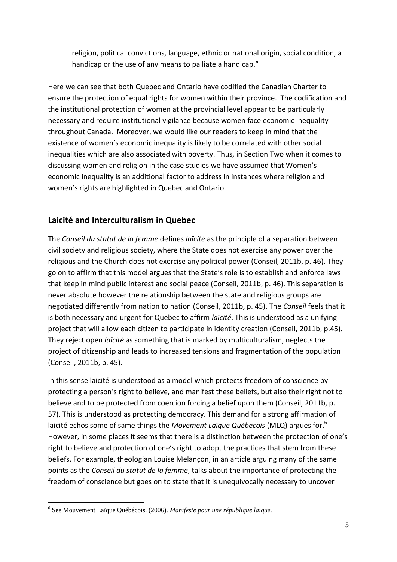religion, political convictions, language, ethnic or national origin, social condition, a handicap or the use of any means to palliate a handicap."

Here we can see that both Quebec and Ontario have codified the Canadian Charter to ensure the protection of equal rights for women within their province. The codification and the institutional protection of women at the provincial level appear to be particularly necessary and require institutional vigilance because women face economic inequality throughout Canada. Moreover, we would like our readers to keep in mind that the existence of women's economic inequality is likely to be correlated with other social inequalities which are also associated with poverty. Thus, in Section Two when it comes to discussing women and religion in the case studies we have assumed that Women's economic inequality is an additional factor to address in instances where religion and women's rights are highlighted in Quebec and Ontario.

## **Laicité and Interculturalism in Quebec**

The *Conseil du statut de la femme* defines *laïcité* as the principle of a separation between civil society and religious society, where the State does not exercise any power over the religious and the Church does not exercise any political power (Conseil, 2011b, p. 46). They go on to affirm that this model argues that the State's role is to establish and enforce laws that keep in mind public interest and social peace (Conseil, 2011b, p. 46). This separation is never absolute however the relationship between the state and religious groups are negotiated differently from nation to nation (Conseil, 2011b, p. 45). The *Conseil* feels that it is both necessary and urgent for Quebec to affirm *laïcité*. This is understood as a unifying project that will allow each citizen to participate in identity creation (Conseil, 2011b, p.45). They reject open *laïcité* as something that is marked by multiculturalism, neglects the project of citizenship and leads to increased tensions and fragmentation of the population (Conseil, 2011b, p. 45).

In this sense laicité is understood as a model which protects freedom of conscience by protecting a person's right to believe, and manifest these beliefs, but also their right not to believe and to be protected from coercion forcing a belief upon them (Conseil, 2011b, p. 57). This is understood as protecting democracy. This demand for a strong affirmation of laicité echos some of same things the *Movement Laïque Québecois* (MLQ) argues for.<sup>6</sup> However, in some places it seems that there is a distinction between the protection of one's right to believe and protection of one's right to adopt the practices that stem from these beliefs. For example, theologian Louise Melançon, in an article arguing many of the same points as the *Conseil du statut de la femme*, talks about the importance of protecting the freedom of conscience but goes on to state that it is unequivocally necessary to uncover

**.** 

<sup>6</sup> See Mouvement Laïque Québécois. (2006). *Manifeste pour une république laique.*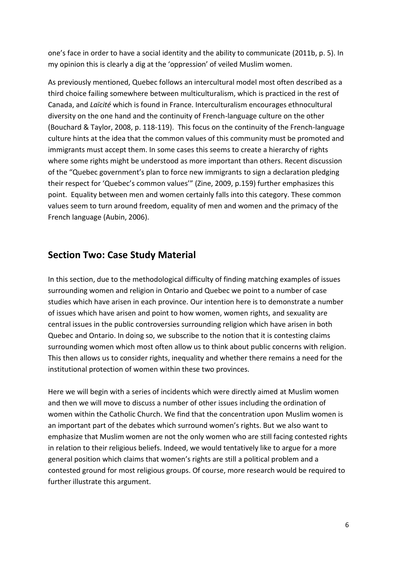one's face in order to have a social identity and the ability to communicate (2011b, p. 5). In my opinion this is clearly a dig at the 'oppression' of veiled Muslim women.

As previously mentioned, Quebec follows an intercultural model most often described as a third choice failing somewhere between multiculturalism, which is practiced in the rest of Canada, and *Laïcité* which is found in France. Interculturalism encourages ethnocultural diversity on the one hand and the continuity of French-language culture on the other (Bouchard & Taylor, 2008, p. 118-119). This focus on the continuity of the French-language culture hints at the idea that the common values of this community must be promoted and immigrants must accept them. In some cases this seems to create a hierarchy of rights where some rights might be understood as more important than others. Recent discussion of the "Quebec government's plan to force new immigrants to sign a declaration pledging their respect for 'Quebec's common values'" (Zine, 2009, p.159) further emphasizes this point. Equality between men and women certainly falls into this category. These common values seem to turn around freedom, equality of men and women and the primacy of the French language (Aubin, 2006).

# **Section Two: Case Study Material**

In this section, due to the methodological difficulty of finding matching examples of issues surrounding women and religion in Ontario and Quebec we point to a number of case studies which have arisen in each province. Our intention here is to demonstrate a number of issues which have arisen and point to how women, women rights, and sexuality are central issues in the public controversies surrounding religion which have arisen in both Quebec and Ontario. In doing so, we subscribe to the notion that it is contesting claims surrounding women which most often allow us to think about public concerns with religion. This then allows us to consider rights, inequality and whether there remains a need for the institutional protection of women within these two provinces.

Here we will begin with a series of incidents which were directly aimed at Muslim women and then we will move to discuss a number of other issues including the ordination of women within the Catholic Church. We find that the concentration upon Muslim women is an important part of the debates which surround women's rights. But we also want to emphasize that Muslim women are not the only women who are still facing contested rights in relation to their religious beliefs. Indeed, we would tentatively like to argue for a more general position which claims that women's rights are still a political problem and a contested ground for most religious groups. Of course, more research would be required to further illustrate this argument.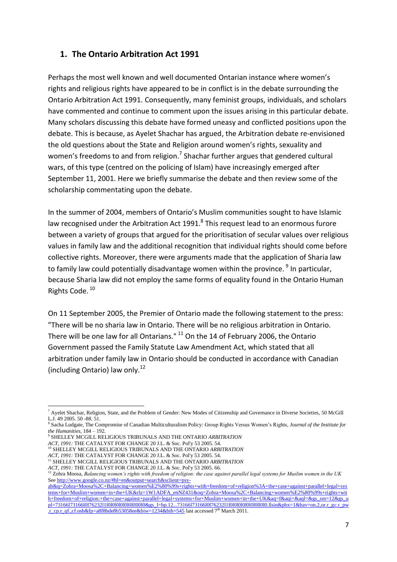## **1. The Ontario Arbitration Act 1991**

Perhaps the most well known and well documented Ontarian instance where women's rights and religious rights have appeared to be in conflict is in the debate surrounding the Ontario Arbitration Act 1991. Consequently, many feminist groups, individuals, and scholars have commented and continue to comment upon the issues arising in this particular debate. Many scholars discussing this debate have formed uneasy and conflicted positions upon the debate. This is because, as Ayelet Shachar has argued, the Arbitration debate re-envisioned the old questions about the State and Religion around women's rights, sexuality and women's freedoms to and from religion.<sup>7</sup> Shachar further argues that gendered cultural wars, of this type (centred on the policing of Islam) have increasingly emerged after September 11, 2001. Here we briefly summarise the debate and then review some of the scholarship commentating upon the debate.

In the summer of 2004, members of Ontario's Muslim communities sought to have Islamic law recognised under the Arbitration Act 1991.<sup>8</sup> This request lead to an enormous furore between a variety of groups that argued for the prioritisation of secular values over religious values in family law and the additional recognition that individual rights should come before collective rights. Moreover, there were arguments made that the application of Sharia law to family law could potentially disadvantage women within the province. <sup>9</sup> In particular, because Sharia law did not employ the same forms of equality found in the Ontario Human Rights Code.<sup>10</sup>

On 11 September 2005, the Premier of Ontario made the following statement to the press: "There will be no sharia law in Ontario. There will be no religious arbitration in Ontario. There will be one law for all Ontarians." <sup>11</sup> On the 14 of February 2006, the Ontario Government passed the Family Statute Law Amendment Act, which stated that all arbitration under family law in Ontario should be conducted in accordance with Canadian (including Ontario) law only. $^{12}$ 

*ACT, 1991:* THE CATALYST FOR CHANGE 20 J.L. & Soc. Pol'y 53 2005. 54.

<sup>11</sup> SHELLEY MCGILL RELIGIOUS TRIBUNALS AND THE ONTARIO *ARBITRATION*

<sup>1</sup> <sup>7</sup> Ayelet Shachar, Religion, State, and the Problem of Gender: New Modes of Citizenship and Governance in Diverse Societies, 50 McGill L.J. 49 2005. 50 -88. 51.

<sup>8</sup> Sacha Ludgate, The Compromise of Canadian Multiculturalism Policy: Group Rights Versus Women's Rights, *Journal of the Institute for the Humanities,* 184 – 192. 9 SHELLEY MCGILL RELIGIOUS TRIBUNALS AND THE ONTARIO *ARBITRATION*

<sup>10</sup> SHELLEY MCGILL RELIGIOUS TRIBUNALS AND THE ONTARIO *ARBITRATION ACT, 1991:* THE CATALYST FOR CHANGE 20 J.L. & Soc. Pol'y 53 2005. 54.

*ACT, 1991:* THE CATALYST FOR CHANGE 20 J.L. & Soc. Pol'y 53 2005. 66.

<sup>12</sup> Zohra Moosa, *Balancing women's rights with freedom of religion: the case against parallel legal systems for Muslim women in the UK* Se[e http://www.google.co.nz/#hl=en&output=search&sclient=psy-](http://www.google.co.nz/#hl=en&output=search&sclient=psy-ab&q=Zohra+Moosa%2C+Balancing+women%E2%80%99s+rights+with+freedom+of+religion%3A+the+case+against+parallel+legal+systems+for+Muslim+women+in+the+UK&rlz=1W1ADFA_enNZ431&oq=Zohra+Moosa%2C+Balancing+women%E2%80%99s+rights+with)

[ab&q=Zohra+Moosa%2C+Balancing+women%E2%80%99s+rights+with+freedom+of+religion%3A+the+case+against+parallel+legal+sys](http://www.google.co.nz/#hl=en&output=search&sclient=psy-ab&q=Zohra+Moosa%2C+Balancing+women%E2%80%99s+rights+with+freedom+of+religion%3A+the+case+against+parallel+legal+systems+for+Muslim+women+in+the+UK&rlz=1W1ADFA_enNZ431&oq=Zohra+Moosa%2C+Balancing+women%E2%80%99s+rights+with) [tems+for+Muslim+women+in+the+UK&rlz=1W1ADFA\\_enNZ431&oq=Zohra+Moosa%2C+Balancing+women%E2%80%99s+rights+wit](http://www.google.co.nz/#hl=en&output=search&sclient=psy-ab&q=Zohra+Moosa%2C+Balancing+women%E2%80%99s+rights+with+freedom+of+religion%3A+the+case+against+parallel+legal+systems+for+Muslim+women+in+the+UK&rlz=1W1ADFA_enNZ431&oq=Zohra+Moosa%2C+Balancing+women%E2%80%99s+rights+with) [h+freedom+of+religion:+the+case+against+parallel+legal+systems+for+Muslim+women+in+the+UK&aq=f&aqi=&aql=&gs\\_sm=12&gs\\_u](http://www.google.co.nz/#hl=en&output=search&sclient=psy-ab&q=Zohra+Moosa%2C+Balancing+women%E2%80%99s+rights+with+freedom+of+religion%3A+the+case+against+parallel+legal+systems+for+Muslim+women+in+the+UK&rlz=1W1ADFA_enNZ431&oq=Zohra+Moosa%2C+Balancing+women%E2%80%99s+rights+with) pl=73166l73166l0l76232l1l0l0l0l0l0l0l0l0l0l0l0&gs\_l=hp.12...73166l73166l0l76232l1l0l0l0l0l0l0l0l0l0l0l0l.llsin&pbx=1&bav=on.2,or.r\_gc.r\_pw [.r\\_cp.r\\_qf.,cf.osb&fp=a8f8bde8b53058ee&biw=1234&bih=545](http://www.google.co.nz/#hl=en&output=search&sclient=psy-ab&q=Zohra+Moosa%2C+Balancing+women%E2%80%99s+rights+with+freedom+of+religion%3A+the+case+against+parallel+legal+systems+for+Muslim+women+in+the+UK&rlz=1W1ADFA_enNZ431&oq=Zohra+Moosa%2C+Balancing+women%E2%80%99s+rights+with) last accessed 7th March 2011.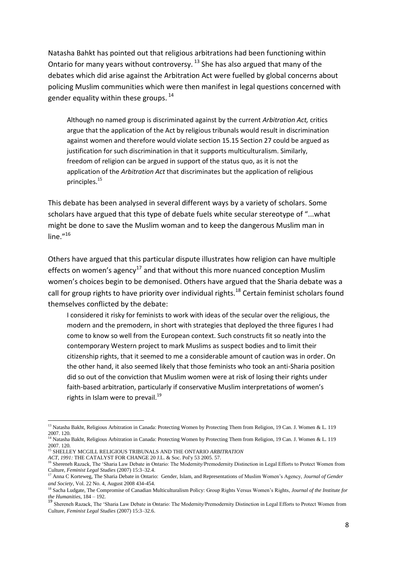Natasha Bahkt has pointed out that religious arbitrations had been functioning within Ontario for many years without controversy.  $^{13}$  She has also argued that many of the debates which did arise against the Arbitration Act were fuelled by global concerns about policing Muslim communities which were then manifest in legal questions concerned with gender equality within these groups.  $14$ 

Although no named group is discriminated against by the current *Arbitration Act,* critics argue that the application of the Act by religious tribunals would result in discrimination against women and therefore would violate section 15.15 Section 27 could be argued as justification for such discrimination in that it supports multiculturalism. Similarly, freedom of religion can be argued in support of the status quo, as it is not the application of the *Arbitration Act* that discriminates but the application of religious principles.<sup>15</sup>

This debate has been analysed in several different ways by a variety of scholars. Some scholars have argued that this type of debate fuels white secular stereotype of "...what might be done to save the Muslim woman and to keep the dangerous Muslim man in line $^{16}$ 

Others have argued that this particular dispute illustrates how religion can have multiple effects on women's agency<sup>17</sup> and that without this more nuanced conception Muslim women's choices begin to be demonised. Others have argued that the Sharia debate was a call for group rights to have priority over individual rights.<sup>18</sup> Certain feminist scholars found themselves conflicted by the debate:

I considered it risky for feminists to work with ideas of the secular over the religious, the modern and the premodern, in short with strategies that deployed the three figures I had come to know so well from the European context. Such constructs fit so neatly into the contemporary Western project to mark Muslims as suspect bodies and to limit their citizenship rights, that it seemed to me a considerable amount of caution was in order. On the other hand, it also seemed likely that those feminists who took an anti-Sharia position did so out of the conviction that Muslim women were at risk of losing their rights under faith-based arbitration, particularly if conservative Muslim interpretations of women's rights in Islam were to prevail.<sup>19</sup>

 $\overline{a}$ <sup>13</sup> Natasha Bakht, Religious Arbitration in Canada: Protecting Women by Protecting Them from Religion, 19 Can. J. Women & L. 119 2007. 120.

<sup>&</sup>lt;sup>14</sup> Natasha Bakht, Religious Arbitration in Canada: Protecting Women by Protecting Them from Religion, 19 Can. J. Women & L. 119 2007. 120.

<sup>15</sup> SHELLEY MCGILL RELIGIOUS TRIBUNALS AND THE ONTARIO *ARBITRATION ACT, 1991:* The CATALYST FOR CHANGE 20 J.L. & Soc. Pol'y 53 2005. 57.

<sup>&</sup>lt;sup>6</sup> Shereneh Razack, The 'Sharia Law Debate in Ontario: The Modernity/Premodernity Distinction in Legal Efforts to Protect Women from Culture, *Feminist Legal Studies* (2007) 15:3–32.4.

<sup>&</sup>lt;sup>17</sup> Anna C Korteweg, The Sharia Debate in Ontario: Gender, Islam, and Representations of Muslim Women's Agency, *Journal of Gender and Society*, Vol. 22 No. 4, August 2008 434-454.

<sup>18</sup> Sacha Ludgate, The Compromise of Canadian Multiculturalism Policy: Group Rights Versus Women's Rights, *Journal of the Institute for the Humanities,* 184 – 192.

<sup>19</sup> Shereneh Razack, The 'Sharia Law Debate in Ontario: The Modernity/Premodernity Distinction in Legal Efforts to Protect Women from Culture, *Feminist Legal Studies* (2007) 15:3–32.6.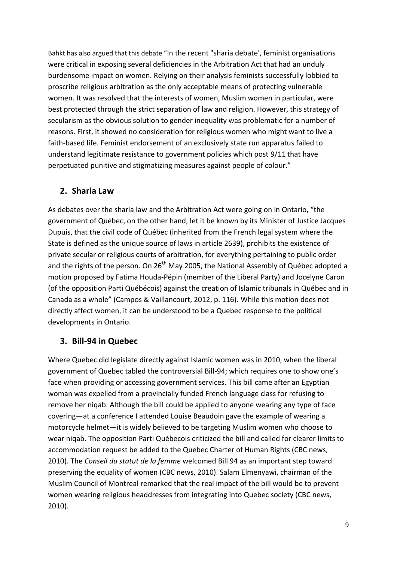Bahkt has also argued that this debate "In the recent "sharia debate', feminist organisations were critical in exposing several deficiencies in the Arbitration Act that had an unduly burdensome impact on women. Relying on their analysis feminists successfully lobbied to proscribe religious arbitration as the only acceptable means of protecting vulnerable women. It was resolved that the interests of women, Muslim women in particular, were best protected through the strict separation of law and religion. However, this strategy of secularism as the obvious solution to gender inequality was problematic for a number of reasons. First, it showed no consideration for religious women who might want to live a faith-based life. Feminist endorsement of an exclusively state run apparatus failed to understand legitimate resistance to government policies which post 9/11 that have perpetuated punitive and stigmatizing measures against people of colour."

## **2. Sharia Law**

As debates over the sharia law and the Arbitration Act were going on in Ontario, "the government of Québec, on the other hand, let it be known by its Minister of Justice Jacques Dupuis, that the civil code of Québec (inherited from the French legal system where the State is defined as the unique source of laws in article 2639), prohibits the existence of private secular or religious courts of arbitration, for everything pertaining to public order and the rights of the person. On  $26<sup>th</sup>$  May 2005, the National Assembly of Québec adopted a motion proposed by Fatima Houda-Pépin (member of the Liberal Party) and Jocelyne Caron (of the opposition Parti Québécois) against the creation of Islamic tribunals in Québec and in Canada as a whole" (Campos & Vaillancourt, 2012, p. 116). While this motion does not directly affect women, it can be understood to be a Quebec response to the political developments in Ontario.

## **3. Bill-94 in Quebec**

Where Quebec did legislate directly against Islamic women was in 2010, when the liberal government of Quebec tabled the controversial Bill-94; which requires one to show one's face when providing or accessing government services. This bill came after an Egyptian woman was expelled from a provincially funded French language class for refusing to remove her niqab. Although the bill could be applied to anyone wearing any type of face covering—at a conference I attended Louise Beaudoin gave the example of wearing a motorcycle helmet—it is widely believed to be targeting Muslim women who choose to wear niqab. The opposition Parti Québecois criticized the bill and called for clearer limits to accommodation request be added to the Quebec Charter of Human Rights (CBC news, 2010). The *Conseil du statut de la femme* welcomed Bill 94 as an important step toward preserving the equality of women (CBC news, 2010). Salam Elmenyawi, chairman of the Muslim Council of Montreal remarked that the real impact of the bill would be to prevent women wearing religious headdresses from integrating into Quebec society (CBC news, 2010).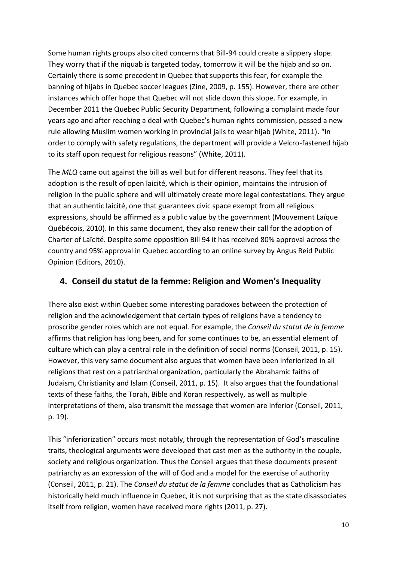Some human rights groups also cited concerns that Bill-94 could create a slippery slope. They worry that if the niquab is targeted today, tomorrow it will be the hijab and so on. Certainly there is some precedent in Quebec that supports this fear, for example the banning of hijabs in Quebec soccer leagues (Zine, 2009, p. 155). However, there are other instances which offer hope that Quebec will not slide down this slope. For example, in December 2011 the Quebec Public Security Department, following a complaint made four years ago and after reaching a deal with Quebec's human rights commission, passed a new rule allowing Muslim women working in provincial jails to wear hijab (White, 2011). "In order to comply with safety regulations, the department will provide a Velcro-fastened hijab to its staff upon request for religious reasons" (White, 2011).

The *MLQ* came out against the bill as well but for different reasons. They feel that its adoption is the result of open laicité, which is their opinion, maintains the intrusion of religion in the public sphere and will ultimately create more legal contestations. They argue that an authentic laicité, one that guarantees civic space exempt from all religious expressions, should be affirmed as a public value by the government (Mouvement Laïque Québécois, 2010). In this same document, they also renew their call for the adoption of Charter of Laïcité. Despite some opposition Bill 94 it has received 80% approval across the country and 95% approval in Quebec according to an online survey by Angus Reid Public Opinion (Editors, 2010).

### **4. Conseil du statut de la femme: Religion and Women's Inequality**

There also exist within Quebec some interesting paradoxes between the protection of religion and the acknowledgement that certain types of religions have a tendency to proscribe gender roles which are not equal. For example, the *Conseil du statut de la femme* affirms that religion has long been, and for some continues to be, an essential element of culture which can play a central role in the definition of social norms (Conseil, 2011, p. 15). However, this very same document also argues that women have been inferiorized in all religions that rest on a patriarchal organization, particularly the Abrahamic faiths of Judaism, Christianity and Islam (Conseil, 2011, p. 15). It also argues that the foundational texts of these faiths, the Torah, Bible and Koran respectively, as well as multiple interpretations of them, also transmit the message that women are inferior (Conseil, 2011, p. 19).

This "inferiorization" occurs most notably, through the representation of God's masculine traits, theological arguments were developed that cast men as the authority in the couple, society and religious organization. Thus the Conseil argues that these documents present patriarchy as an expression of the will of God and a model for the exercise of authority (Conseil, 2011, p. 21). The *Conseil du statut de la femme* concludes that as Catholicism has historically held much influence in Quebec, it is not surprising that as the state disassociates itself from religion, women have received more rights (2011, p. 27).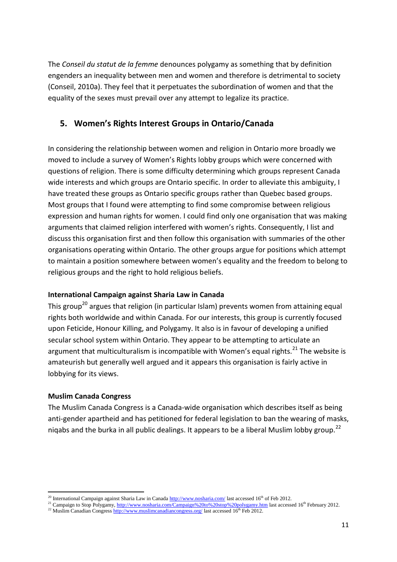The *Conseil du statut de la femme* denounces polygamy as something that by definition engenders an inequality between men and women and therefore is detrimental to society (Conseil, 2010a). They feel that it perpetuates the subordination of women and that the equality of the sexes must prevail over any attempt to legalize its practice.

### **5. Women's Rights Interest Groups in Ontario/Canada**

In considering the relationship between women and religion in Ontario more broadly we moved to include a survey of Women's Rights lobby groups which were concerned with questions of religion. There is some difficulty determining which groups represent Canada wide interests and which groups are Ontario specific. In order to alleviate this ambiguity, I have treated these groups as Ontario specific groups rather than Quebec based groups. Most groups that I found were attempting to find some compromise between religious expression and human rights for women. I could find only one organisation that was making arguments that claimed religion interfered with women's rights. Consequently, I list and discuss this organisation first and then follow this organisation with summaries of the other organisations operating within Ontario. The other groups argue for positions which attempt to maintain a position somewhere between women's equality and the freedom to belong to religious groups and the right to hold religious beliefs.

#### **International Campaign against Sharia Law in Canada**

This group<sup>20</sup> argues that religion (in particular Islam) prevents women from attaining equal rights both worldwide and within Canada. For our interests, this group is currently focused upon Feticide, Honour Killing, and Polygamy. It also is in favour of developing a unified secular school system within Ontario. They appear to be attempting to articulate an argument that multiculturalism is incompatible with Women's equal rights.<sup>21</sup> The website is amateurish but generally well argued and it appears this organisation is fairly active in lobbying for its views.

#### **Muslim Canada Congress**

**.** 

The Muslim Canada Congress is a Canada-wide organisation which describes itself as being anti-gender apartheid and has petitioned for federal legislation to ban the wearing of masks, niqabs and the burka in all public dealings. It appears to be a liberal Muslim lobby group.<sup>22</sup>

<sup>&</sup>lt;sup>20</sup> International Campaign against Sharia Law in Canada  $\frac{http://www.nosharia.com/}{\text{last}~\text{accessed}~16^{\text{th}}}$  of Feb 2012.

<sup>&</sup>lt;sup>21</sup> Campaign to Stop Polygamy[, http://www.nosharia.com/Campaign%20to%20stop%20polygamy.htm](http://www.nosharia.com/Campaign%20to%20stop%20polygamy.htm) last accessed 16<sup>th</sup> February 2012.

<sup>&</sup>lt;sup>22</sup> Muslim Canadian Congress<http://www.muslimcanadiancongress.org/> last accessed 16<sup>th</sup> Feb 2012.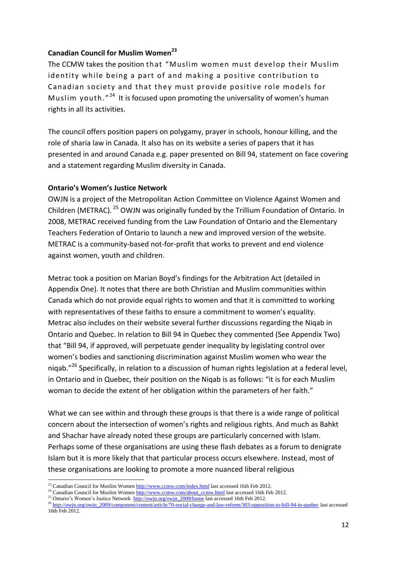#### **Canadian Council for Muslim Women<sup>23</sup>**

The CCMW takes the position that "Muslim women must develop their Muslim identity while being a part of and making a positive contribution to Canadian society and that they must provide positive role models for Muslim youth."<sup>24</sup> It is focused upon promoting the universality of women's human rights in all its activities.

The council offers position papers on polygamy, prayer in schools, honour killing, and the role of sharia law in Canada. It also has on its website a series of papers that it has presented in and around Canada e.g. paper presented on Bill 94, statement on face covering and a statement regarding Muslim diversity in Canada.

#### **Ontario's Women's Justice Network**

OWJN is a project of the Metropolitan Action Committee on Violence Against Women and Children (METRAC). <sup>25</sup> OWJN was originally funded by the Trillium Foundation of Ontario. In 2008, METRAC received funding from the Law Foundation of Ontario and the Elementary Teachers Federation of Ontario to launch a new and improved version of the website. METRAC is a community-based not-for-profit that works to prevent and end violence against women, youth and children.

Metrac took a position on Marian Boyd's findings for the Arbitration Act (detailed in Appendix One). It notes that there are both Christian and Muslim communities within Canada which do not provide equal rights to women and that it is committed to working with representatives of these faiths to ensure a commitment to women's equality. Metrac also includes on their website several further discussions regarding the Niqab in Ontario and Quebec. In relation to Bill 94 in Quebec they commented (See Appendix Two) that "Bill 94, if approved, will perpetuate gender inequality by legislating control over women's bodies and sanctioning discrimination against Muslim women who wear the niqab."<sup>26</sup> Specifically, in relation to a discussion of human rights legislation at a federal level, in Ontario and in Quebec, their position on the Niqab is as follows: "it is for each Muslim woman to decide the extent of her obligation within the parameters of her faith."

What we can see within and through these groups is that there is a wide range of political concern about the intersection of women's rights and religious rights. And much as Bahkt and Shachar have already noted these groups are particularly concerned with Islam. Perhaps some of these organisations are using these flash debates as a forum to denigrate Islam but it is more likely that that particular process occurs elsewhere. Instead, most of these organisations are looking to promote a more nuanced liberal religious

**.** 

<sup>&</sup>lt;sup>23</sup> Canadian Council for Muslim Wome[n http://www.ccmw.com/index.html](http://www.ccmw.com/index.html) last accessed 16th Feb 2012.

<sup>&</sup>lt;sup>24</sup> Canadian Council for Muslim Wome[n http://www.ccmw.com/about\\_ccmw.html](http://www.ccmw.com/about_ccmw.html) last accessed 16th Feb 2012.

<sup>&</sup>lt;sup>25</sup> Ontario's Women's Justice Network [http://owjn.org/owjn\\_2009/home](http://owjn.org/owjn_2009/home) last accessed 16th Feb 2012.

<sup>&</sup>lt;sup>26</sup> [http://owjn.org/owjn\\_2009/component/content/article/70-social-change-and-law-reform/303-opposition-to-bill-94-in-quebec](http://owjn.org/owjn_2009/component/content/article/70-social-change-and-law-reform/303-opposition-to-bill-94-in-quebec) last accessed 16th Feb 2012.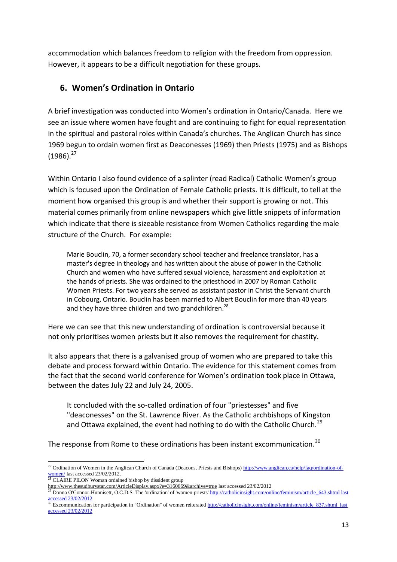accommodation which balances freedom to religion with the freedom from oppression. However, it appears to be a difficult negotiation for these groups.

## **6. Women's Ordination in Ontario**

A brief investigation was conducted into Women's ordination in Ontario/Canada. Here we see an issue where women have fought and are continuing to fight for equal representation in the spiritual and pastoral roles within Canada's churches. The Anglican Church has since 1969 begun to ordain women first as Deaconesses (1969) then Priests (1975) and as Bishops  $(1986).^{27}$ 

Within Ontario I also found evidence of a splinter (read Radical) Catholic Women's group which is focused upon the Ordination of Female Catholic priests. It is difficult, to tell at the moment how organised this group is and whether their support is growing or not. This material comes primarily from online newspapers which give little snippets of information which indicate that there is sizeable resistance from Women Catholics regarding the male structure of the Church. For example:

Marie Bouclin, 70, a former secondary school teacher and freelance translator, has a master's degree in theology and has written about the abuse of power in the Catholic Church and women who have suffered sexual violence, harassment and exploitation at the hands of priests. She was ordained to the priesthood in 2007 by Roman Catholic Women Priests. For two years she served as assistant pastor in Christ the Servant church in Cobourg, Ontario. Bouclin has been married to Albert Bouclin for more than 40 years and they have three children and two grandchildren.<sup>28</sup>

Here we can see that this new understanding of ordination is controversial because it not only prioritises women priests but it also removes the requirement for chastity.

It also appears that there is a galvanised group of women who are prepared to take this debate and process forward within Ontario. The evidence for this statement comes from the fact that the second world conference for Women's ordination took place in Ottawa, between the dates July 22 and July 24, 2005.

It concluded with the so-called ordination of four "priestesses" and five "deaconesses" on the St. Lawrence River. As the Catholic archbishops of Kingston and Ottawa explained, the event had nothing to do with the Catholic Church.<sup>29</sup>

The response from Rome to these ordinations has been instant excommunication.<sup>30</sup>

1

<sup>&</sup>lt;sup>27</sup> Ordination of Women in the Anglican Church of Canada (Deacons, Priests and Bishops[\) http://www.anglican.ca/help/faq/ordination-of](http://www.anglican.ca/help/faq/ordination-of-women/)[women/](http://www.anglican.ca/help/faq/ordination-of-women/) last accessed 23/02/2012.

**<sup>28</sup>** CLAIRE PILON Woman ordained bishop by dissident group

<http://www.thesudburystar.com/ArticleDisplay.aspx?e=3160669&archive=true> last accessed 23/02/2012

<sup>&</sup>lt;sup>2</sup> Donna O'Connor-Hunnisett, O.C.D.S. The 'ordination' of 'women priests' http://catholicinsight.com/online/feminism/article\_643.shtml last [accessed 23/02/2012](http://catholicinsight.com/online/feminism/article_643.shtml%20last%20accessed%2023/02/2012)

<sup>&</sup>lt;sup>30</sup> Excommunication for participation in "Ordination" of women reiterated http://catholicinsight.com/online/feminism/article\_837.shtml last [accessed 23/02/2012](http://catholicinsight.com/online/feminism/article_837.shtml%20%20last%20accessed%2023/02/2012)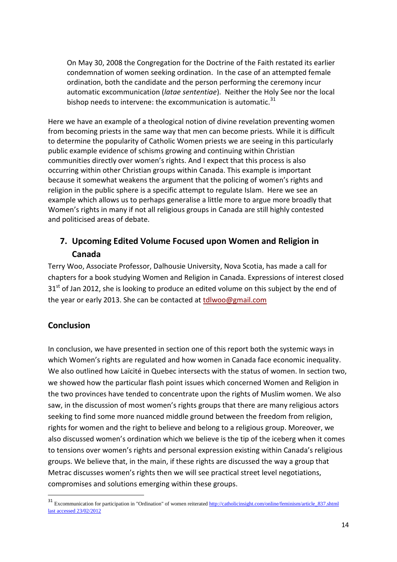On May 30, 2008 the Congregation for the Doctrine of the Faith restated its earlier condemnation of women seeking ordination. In the case of an attempted female ordination, both the candidate and the person performing the ceremony incur automatic excommunication (*latae sententiae*). Neither the Holy See nor the local bishop needs to intervene: the excommunication is automatic. $31$ 

Here we have an example of a theological notion of divine revelation preventing women from becoming priests in the same way that men can become priests. While it is difficult to determine the popularity of Catholic Women priests we are seeing in this particularly public example evidence of schisms growing and continuing within Christian communities directly over women's rights. And I expect that this process is also occurring within other Christian groups within Canada. This example is important because it somewhat weakens the argument that the policing of women's rights and religion in the public sphere is a specific attempt to regulate Islam. Here we see an example which allows us to perhaps generalise a little more to argue more broadly that Women's rights in many if not all religious groups in Canada are still highly contested and politicised areas of debate.

# **7. Upcoming Edited Volume Focused upon Women and Religion in Canada**

Terry Woo, Associate Professor, Dalhousie University, Nova Scotia, has made a call for chapters for a book studying Women and Religion in Canada. Expressions of interest closed  $31<sup>st</sup>$  of Jan 2012, she is looking to produce an edited volume on this subject by the end of the year or early 2013. She can be contacted at [tdlwoo@gmail.com](javascript:void(0))

## **Conclusion**

**.** 

In conclusion, we have presented in section one of this report both the systemic ways in which Women's rights are regulated and how women in Canada face economic inequality. We also outlined how Laïcité in Quebec intersects with the status of women. In section two, we showed how the particular flash point issues which concerned Women and Religion in the two provinces have tended to concentrate upon the rights of Muslim women. We also saw, in the discussion of most women's rights groups that there are many religious actors seeking to find some more nuanced middle ground between the freedom from religion, rights for women and the right to believe and belong to a religious group. Moreover, we also discussed women's ordination which we believe is the tip of the iceberg when it comes to tensions over women's rights and personal expression existing within Canada's religious groups. We believe that, in the main, if these rights are discussed the way a group that Metrac discusses women's rights then we will see practical street level negotiations, compromises and solutions emerging within these groups.

<sup>&</sup>lt;sup>31</sup> Excommunication for participation in "Ordination" of women reiterated http://catholicinsight.com/online/feminism/article\_837.shtml [last accessed 23/02/2012](http://catholicinsight.com/online/feminism/article_837.shtml%20%20last%20accessed%2023/02/2012)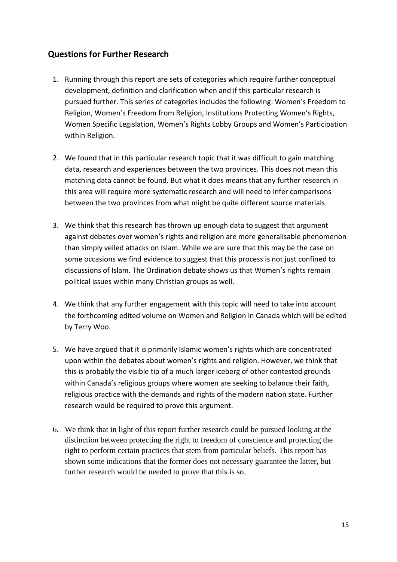## **Questions for Further Research**

- 1. Running through this report are sets of categories which require further conceptual development, definition and clarification when and if this particular research is pursued further. This series of categories includes the following: Women's Freedom to Religion, Women's Freedom from Religion, Institutions Protecting Women's Rights, Women Specific Legislation, Women's Rights Lobby Groups and Women's Participation within Religion.
- 2. We found that in this particular research topic that it was difficult to gain matching data, research and experiences between the two provinces. This does not mean this matching data cannot be found. But what it does means that any further research in this area will require more systematic research and will need to infer comparisons between the two provinces from what might be quite different source materials.
- 3. We think that this research has thrown up enough data to suggest that argument against debates over women's rights and religion are more generalisable phenomenon than simply veiled attacks on Islam. While we are sure that this may be the case on some occasions we find evidence to suggest that this process is not just confined to discussions of Islam. The Ordination debate shows us that Women's rights remain political issues within many Christian groups as well.
- 4. We think that any further engagement with this topic will need to take into account the forthcoming edited volume on Women and Religion in Canada which will be edited by Terry Woo.
- 5. We have argued that it is primarily Islamic women's rights which are concentrated upon within the debates about women's rights and religion. However, we think that this is probably the visible tip of a much larger iceberg of other contested grounds within Canada's religious groups where women are seeking to balance their faith, religious practice with the demands and rights of the modern nation state. Further research would be required to prove this argument.
- 6. We think that in light of this report further research could be pursued looking at the distinction between protecting the right to freedom of conscience and protecting the right to perform certain practices that stem from particular beliefs. This report has shown some indications that the former does not necessary guarantee the latter, but further research would be needed to prove that this is so.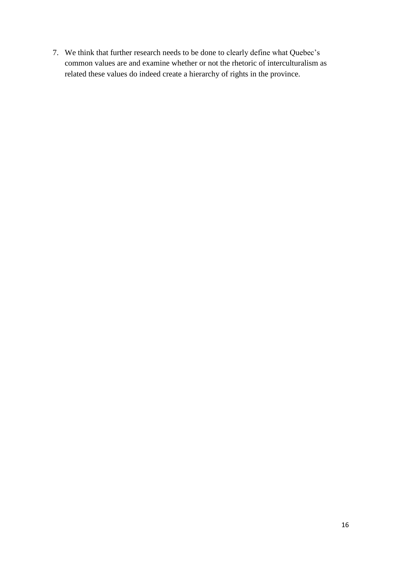7. We think that further research needs to be done to clearly define what Quebec's common values are and examine whether or not the rhetoric of interculturalism as related these values do indeed create a hierarchy of rights in the province.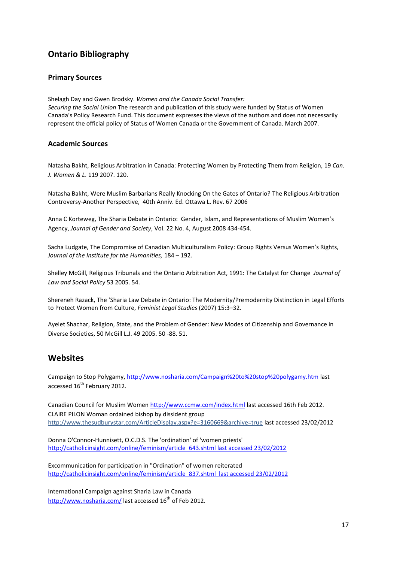## **Ontario Bibliography**

#### **Primary Sources**

Shelagh Day and Gwen Brodsky. *Women and the Canada Social Transfer: Securing the Social Union* The research and publication of this study were funded by Status of Women Canada's Policy Research Fund. This document expresses the views of the authors and does not necessarily represent the official policy of Status of Women Canada or the Government of Canada. March 2007.

#### **Academic Sources**

Natasha Bakht, Religious Arbitration in Canada: Protecting Women by Protecting Them from Religion, 19 *Can. J. Women & L*. 119 2007. 120.

Natasha Bakht, Were Muslim Barbarians Really Knocking On the Gates of Ontario? The Religious Arbitration Controversy-Another Perspective, 40th Anniv. Ed. Ottawa L. Rev. 67 2006

Anna C Korteweg, The Sharia Debate in Ontario: Gender, Islam, and Representations of Muslim Women's Agency, *Journal of Gender and Society*, Vol. 22 No. 4, August 2008 434-454.

Sacha Ludgate, The Compromise of Canadian Multiculturalism Policy: Group Rights Versus Women's Rights, *Journal of the Institute for the Humanities,* 184 – 192.

Shelley McGill, Religious Tribunals and the Ontario Arbitration Act, 1991: The Catalyst for Change *Journal of Law and Social Policy* 53 2005. 54.

Shereneh Razack, The 'Sharia Law Debate in Ontario: The Modernity/Premodernity Distinction in Legal Efforts to Protect Women from Culture, *Feminist Legal Studies* (2007) 15:3–32.

Ayelet Shachar, Religion, State, and the Problem of Gender: New Modes of Citizenship and Governance in Diverse Societies, 50 McGill L.J. 49 2005. 50 -88. 51.

#### **Websites**

Campaign to Stop Polygamy,<http://www.nosharia.com/Campaign%20to%20stop%20polygamy.htm> last accessed 16<sup>th</sup> February 2012.

Canadian Council for Muslim Women<http://www.ccmw.com/index.html> last accessed 16th Feb 2012. CLAIRE PILON Woman ordained bishop by dissident group <http://www.thesudburystar.com/ArticleDisplay.aspx?e=3160669&archive=true> last accessed 23/02/2012

Donna O'Connor-Hunnisett, O.C.D.S. The 'ordination' of 'women priests' [http://catholicinsight.com/online/feminism/article\\_643.shtml last accessed 23/02/2012](http://catholicinsight.com/online/feminism/article_643.shtml%20last%20accessed%2023/02/2012)

Excommunication for participation in "Ordination" of women reiterated [http://catholicinsight.com/online/feminism/article\\_837.shtml last accessed 23/02/2012](http://catholicinsight.com/online/feminism/article_837.shtml%20%20last%20accessed%2023/02/2012)

International Campaign against Sharia Law in Canada <http://www.nosharia.com/> last accessed  $16<sup>th</sup>$  of Feb 2012.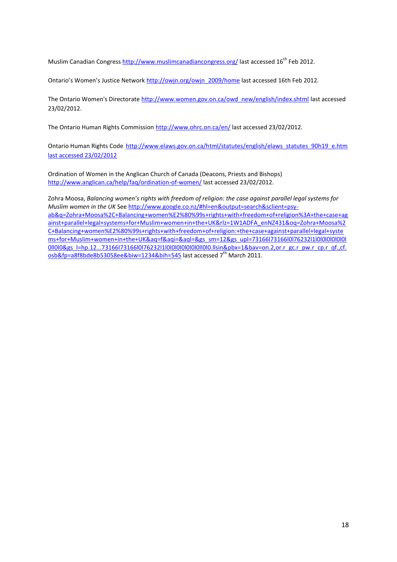Muslim Canadian Congres[s http://www.muslimcanadiancongress.org/](http://www.muslimcanadiancongress.org/) last accessed 16<sup>th</sup> Feb 2012.

Ontario's Women's Justice Network [http://owjn.org/owjn\\_2009/home](http://owjn.org/owjn_2009/home) last accessed 16th Feb 2012.

The Ontario Women's Directorate [http://www.women.gov.on.ca/owd\\_new/english/index.shtml](http://www.women.gov.on.ca/owd_new/english/index.shtml) last accessed 23/02/2012.

The Ontario Human Rights Commission<http://www.ohrc.on.ca/en/> last accessed 23/02/2012.

Ontario Human Rights Code [http://www.elaws.gov.on.ca/html/statutes/english/elaws\\_statutes\\_90h19\\_e.htm](http://www.elaws.gov.on.ca/html/statutes/english/elaws_statutes_90h19_e.htm%20last%20accessed%2023/02/2012)  [last accessed 23/02/2012](http://www.elaws.gov.on.ca/html/statutes/english/elaws_statutes_90h19_e.htm%20last%20accessed%2023/02/2012)

Ordination of Women in the Anglican Church of Canada (Deacons, Priests and Bishops) <http://www.anglican.ca/help/faq/ordination-of-women/> last accessed 23/02/2012.

Zohra Moosa, *Balancing women's rights with freedom of religion: the case against parallel legal systems for Muslim women in the UK* Se[e http://www.google.co.nz/#hl=en&output=search&sclient=psy](http://www.google.co.nz/#hl=en&output=search&sclient=psy-ab&q=Zohra+Moosa%2C+Balancing+women%E2%80%99s+rights+with+freedom+of+religion%3A+the+case+against+parallel+legal+systems+for+Muslim+women+in+the+UK&rlz=1W1ADFA_enNZ431&oq=Zohra+Moosa%2C+Balancing+women%E2%80%99s+rights+with)[ab&q=Zohra+Moosa%2C+Balancing+women%E2%80%99s+rights+with+freedom+of+religion%3A+the+case+ag](http://www.google.co.nz/#hl=en&output=search&sclient=psy-ab&q=Zohra+Moosa%2C+Balancing+women%E2%80%99s+rights+with+freedom+of+religion%3A+the+case+against+parallel+legal+systems+for+Muslim+women+in+the+UK&rlz=1W1ADFA_enNZ431&oq=Zohra+Moosa%2C+Balancing+women%E2%80%99s+rights+with) [ainst+parallel+legal+systems+for+Muslim+women+in+the+UK&rlz=1W1ADFA\\_enNZ431&oq=Zohra+Moosa%2](http://www.google.co.nz/#hl=en&output=search&sclient=psy-ab&q=Zohra+Moosa%2C+Balancing+women%E2%80%99s+rights+with+freedom+of+religion%3A+the+case+against+parallel+legal+systems+for+Muslim+women+in+the+UK&rlz=1W1ADFA_enNZ431&oq=Zohra+Moosa%2C+Balancing+women%E2%80%99s+rights+with) [C+Balancing+women%E2%80%99s+rights+with+freedom+of+religion:+the+case+against+parallel+legal+syste](http://www.google.co.nz/#hl=en&output=search&sclient=psy-ab&q=Zohra+Moosa%2C+Balancing+women%E2%80%99s+rights+with+freedom+of+religion%3A+the+case+against+parallel+legal+systems+for+Muslim+women+in+the+UK&rlz=1W1ADFA_enNZ431&oq=Zohra+Moosa%2C+Balancing+women%E2%80%99s+rights+with) [ms+for+Muslim+women+in+the+UK&aq=f&aqi=&aql=&gs\\_sm=12&gs\\_upl=73166l73166l0l76232l1l0l0l0l0l0l0l](http://www.google.co.nz/#hl=en&output=search&sclient=psy-ab&q=Zohra+Moosa%2C+Balancing+women%E2%80%99s+rights+with+freedom+of+religion%3A+the+case+against+parallel+legal+systems+for+Muslim+women+in+the+UK&rlz=1W1ADFA_enNZ431&oq=Zohra+Moosa%2C+Balancing+women%E2%80%99s+rights+with) 0000&gs\_l=hp.12...73166l73166l0l76232l1l0l0l0l0l0l0l0l0l0l0.llsin&pbx=1&bav=on.2,or.r\_gc.r\_pw.r\_cp.r\_qf.,cf. [osb&fp=a8f8bde8b53058ee&biw=1234&bih=545](http://www.google.co.nz/#hl=en&output=search&sclient=psy-ab&q=Zohra+Moosa%2C+Balancing+women%E2%80%99s+rights+with+freedom+of+religion%3A+the+case+against+parallel+legal+systems+for+Muslim+women+in+the+UK&rlz=1W1ADFA_enNZ431&oq=Zohra+Moosa%2C+Balancing+women%E2%80%99s+rights+with) last accessed 7<sup>th</sup> March 2011.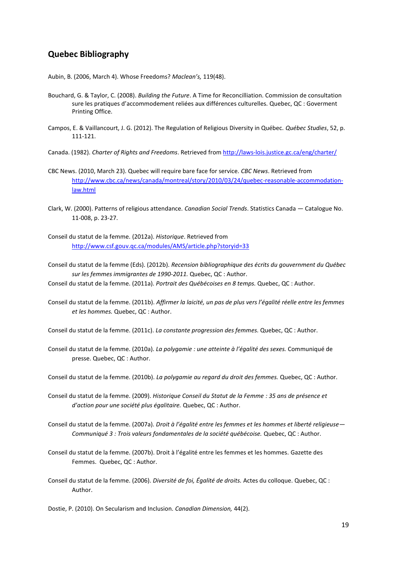#### **Quebec Bibliography**

Aubin, B. (2006, March 4). Whose Freedoms? *Maclean's,* 119(48).

- Bouchard, G. & Taylor, C. (2008). *Building the Future*. A Time for Reconcilliation. Commission de consultation sure les pratiques d'accommodement reliées aux différences culturelles. Quebec, QC : Goverment Printing Office.
- Campos, E. & Vaillancourt, J. G. (2012). The Regulation of Religious Diversity in Québec. *Québec Studies*, 52, p. 111-121.
- Canada. (1982). *Charter of Rights and Freedoms*. Retrieved fro[m http://laws-lois.justice.gc.ca/eng/charter/](http://laws-lois.justice.gc.ca/eng/charter/)
- CBC News. (2010, March 23). Quebec will require bare face for service. *CBC News*. Retrieved from [http://www.cbc.ca/news/canada/montreal/story/2010/03/24/quebec-reasonable-accommodation](http://www.cbc.ca/news/canada/montreal/story/2010/03/24/quebec-reasonable-accommodation-law.html)[law.html](http://www.cbc.ca/news/canada/montreal/story/2010/03/24/quebec-reasonable-accommodation-law.html)
- Clark, W. (2000). Patterns of religious attendance. *Canadian Social Trends*. Statistics Canada Catalogue No. 11-008, p. 23-27.
- Conseil du statut de la femme. (2012a). *Historique*. Retrieved from <http://www.csf.gouv.qc.ca/modules/AMS/article.php?storyid=33>
- Conseil du statut de la femme (Eds). (2012b). *Recension bibliographique des écrits du gouvernment du Québec sur les femmes immigrantes de 1990-2011.* Quebec, QC : Author.

Conseil du statut de la femme. (2011a). *Portrait des Québécoises en 8 temps.* Quebec, QC : Author.

Conseil du statut de la femme. (2011b). *Affirmer la laicité, un pas de plus vers l'égalité réelle entre les femmes et les hommes.* Quebec, QC : Author.

Conseil du statut de la femme. (2011c). *La constante progression des femmes.* Quebec, QC : Author.

- Conseil du statut de la femme. (2010a). *La polygamie : une atteinte à l'égalité des sexes.* Communiqué de presse. Quebec, QC : Author.
- Conseil du statut de la femme. (2010b). *La polygamie au regard du droit des femmes.* Quebec, QC : Author.
- Conseil du statut de la femme. (2009). *Historique Conseil du Statut de la Femme : 35 ans de présence et d'action pour une société plus égalitaire.* Quebec, QC : Author.
- Conseil du statut de la femme. (2007a). *Droit à l'égalité entre les femmes et les hommes et liberté religieuse— Communiqué 3 : Trois valeurs fondamentales de la société québécoise.* Quebec, QC : Author.
- Conseil du statut de la femme. (2007b). Droit à l'égalité entre les femmes et les hommes*.* Gazette des Femmes. Quebec, QC : Author.
- Conseil du statut de la femme. (2006). *Diversité de foi, Égalité de droits.* Actes du colloque. Quebec, QC : Author.

Dostie, P. (2010). On Secularism and Inclusion. *Canadian Dimension,* 44(2).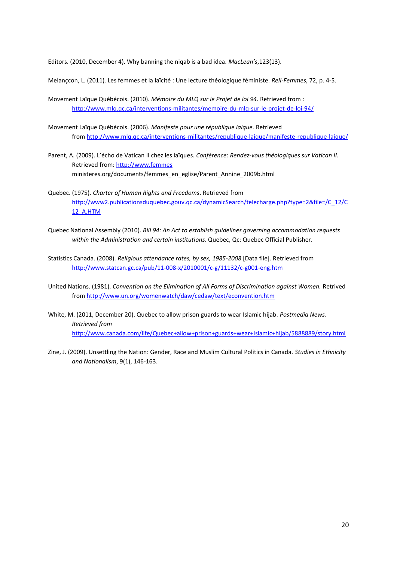Editors. (2010, December 4). Why banning the niqab is a bad idea. *MacLean's*,123(13).

Melançcon, L. (2011). Les femmes et la laïcité : Une lecture théologique féministe. *Reli-Femmes*, 72, p. 4-5.

- Movement Laïque Québécois. (2010). *Mémoire du MLQ sur le Projet de loi 94*. Retrieved from : <http://www.mlq.qc.ca/interventions-militantes/memoire-du-mlq-sur-le-projet-de-loi-94/>
- Movement Laïque Québécois. (2006). *Manifeste pour une république laique.* Retrieved from <http://www.mlq.qc.ca/interventions-militantes/republique-laique/manifeste-republique-laique/>
- Parent, A. (2009). L'écho de Vatican II chez les laïques. *Conférence*: *Rendez-vous théologiques sur Vatican II.* Retrieved from: [http://www.femmes](http://www.femmes/) ministeres.org/documents/femmes\_en\_eglise/Parent\_Annine\_2009b.html
- Quebec. (1975). *Charter of Human Rights and Freedoms*. Retrieved from [http://www2.publicationsduquebec.gouv.qc.ca/dynamicSearch/telecharge.php?type=2&file=/C\\_12/C](http://www2.publicationsduquebec.gouv.qc.ca/dynamicSearch/telecharge.php?type=2&file=/C_12/C12_A.HTM) [12\\_A.HTM](http://www2.publicationsduquebec.gouv.qc.ca/dynamicSearch/telecharge.php?type=2&file=/C_12/C12_A.HTM)
- Quebec National Assembly (2010). *Bill 94: An Act to establish guidelines governing accommodation requests within the Administration and certain institutions*. Quebec, Qc: Quebec Official Publisher.
- Statistics Canada. (2008). *Religious attendance rates, by sex, 1985-2008* [Data file]. Retrieved from <http://www.statcan.gc.ca/pub/11-008-x/2010001/c-g/11132/c-g001-eng.htm>
- United Nations. (1981). *Convention on the Elimination of All Forms of Discrimination against Women.* Retrived from<http://www.un.org/womenwatch/daw/cedaw/text/econvention.htm>
- White, M. (2011, December 20). Quebec to allow prison guards to wear Islamic hijab. *Postmedia News. Retrieved from* <http://www.canada.com/life/Quebec+allow+prison+guards+wear+Islamic+hijab/5888889/story.html>
- Zine, J. (2009). Unsettling the Nation: Gender, Race and Muslim Cultural Politics in Canada. *Studies in Ethnicity and Nationalism*, 9(1), 146-163.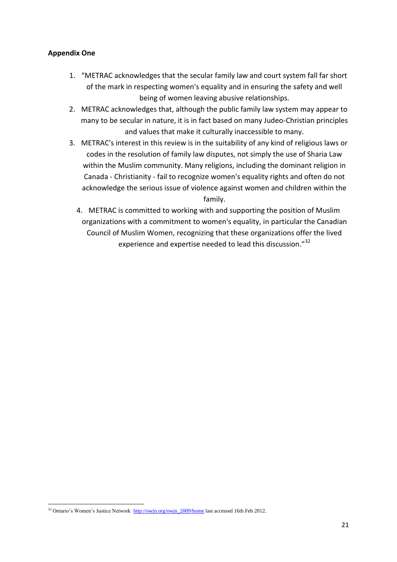#### **Appendix One**

- 1. "METRAC acknowledges that the secular family law and court system fall far short of the mark in respecting women's equality and in ensuring the safety and well being of women leaving abusive relationships.
- 2. METRAC acknowledges that, although the public family law system may appear to many to be secular in nature, it is in fact based on many Judeo-Christian principles and values that make it culturally inaccessible to many.
- 3. METRAC's interest in this review is in the suitability of any kind of religious laws or codes in the resolution of family law disputes, not simply the use of Sharia Law within the Muslim community. Many religions, including the dominant religion in Canada - Christianity - fail to recognize women's equality rights and often do not acknowledge the serious issue of violence against women and children within the family.
	- 4. METRAC is committed to working with and supporting the position of Muslim organizations with a commitment to women's equality, in particular the Canadian Council of Muslim Women, recognizing that these organizations offer the lived experience and expertise needed to lead this discussion."<sup>32</sup>

**<sup>.</sup>** <sup>32</sup> Ontario's Women's Justice Network [http://owjn.org/owjn\\_2009/home](http://owjn.org/owjn_2009/home) last accessed 16th Feb 2012.